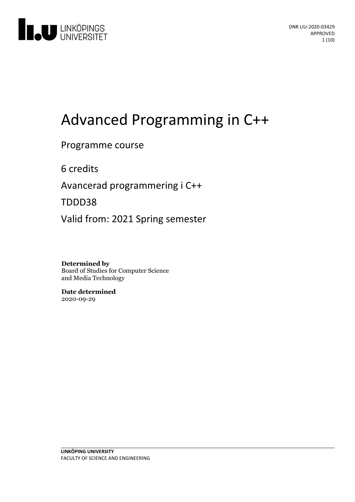

# Advanced Programming in C++

### Programme course

6 credits

Avancerad programmeringi C++

TDDD38

Valid from: 2021 Spring semester

**Determined by** Board of Studies for Computer Science and Media Technology

**Date determined** 2020-09-29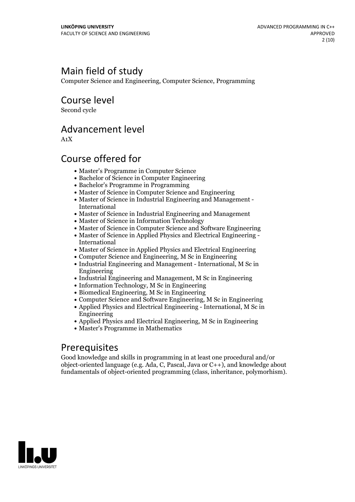# Main field of study

Computer Science and Engineering, Computer Science, Programming

Course level

Second cycle

### Advancement level

A1X

### Course offered for

- Master's Programme in Computer Science
- Bachelor of Science in Computer Engineering
- Bachelor's Programme in Programming
- Master of Science in Computer Science and Engineering
- Master of Science in Industrial Engineering and Management International
- Master of Science in Industrial Engineering and Management
- Master of Science in Information Technology
- Master of Science in Computer Science and Software Engineering
- Master of Science in Applied Physics and Electrical Engineering International
- Master of Science in Applied Physics and Electrical Engineering
- Computer Science and Engineering, M Sc in Engineering
- Industrial Engineering and Management International, M Sc in Engineering
- Industrial Engineering and Management, M Sc in Engineering
- Information Technology, M Sc in Engineering
- Biomedical Engineering, M Sc in Engineering
- Computer Science and Software Engineering, M Sc in Engineering
- Applied Physics and Electrical Engineering International, M Sc in Engineering
- Applied Physics and Electrical Engineering, M Sc in Engineering
- Master's Programme in Mathematics

### Prerequisites

Good knowledge and skills in programming in at least one procedural and/or object-oriented language (e.g. Ada, C, Pascal, Java or C++), and knowledge about fundamentals of object-oriented programming (class, inheritance, polymorhism).

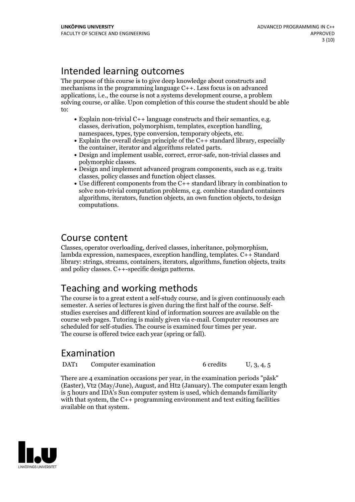# Intended learning outcomes

The purpose of this course is to give deep knowledge about constructs and mechanisms in the programming language C++. Less focus is on advanced applications, i.e., the course is not a systems development course, a problem solving course, or alike. Upon completion of this course the student should be able to:

- Explain non-trivial C++ language constructs and their semantics, e.g. classes, derivation, polymorphism, templates, exception handling, namespaces, types, type conversion, temporary objects, etc.<br>• Explain the overall d
- 
- $\bullet$  Design and implement usable, correct, error-safe, non-trivial classes and polymorphic classes.<br>• Design and implement advanced program components, such as e.g. traits
- 
- classes, policy classes and function object classes. Use different components from the C++ standard library in combination to solve non-trivial computation problems, e.g. combine standard containers algorithms, iterators, function objects, an own function objects, to design computations.

### Course content

Classes, operator overloading, derived classes, inheritance, polymorphism, lambda expression, namespaces, exception handling, templates. C++ Standard library: strings, streams, containers, iterators, algorithms, function objects, traits and policy classes. C++-specific design patterns.

# Teaching and working methods

The course is to a great extent a self-study course, and is given continuously each semester. <sup>A</sup> series of lectures is given during the first half of the course. Self- studies exercises and different kind of information sources are available on the course web pages. Tutoring is mainly given via e-mail. Computer resourses are scheduled for self-studies. The course is examined four times per year. The course is offered twice each year (spring or fall).

# Examination

DAT<sub>1</sub> Computer examination 6 credits U, 3, 4, 5

There are 4 examination occasions per year, in the examination periods "påsk" (Easter), Vt2 (May/June), August, and Ht2 (January). The computer exam length is 5 hours and IDA's Sun computer system is used, which demands familiarity with that system, the C++ programming environment and text exiting facilities available on that system.

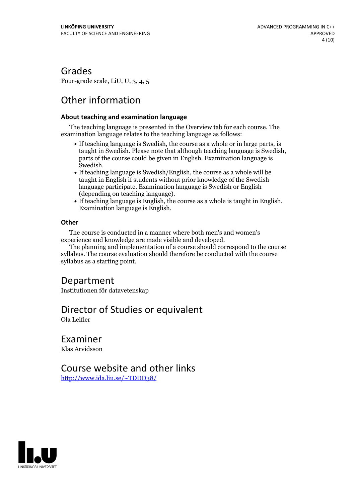### Grades

Four-grade scale, LiU, U, 3, 4, 5

# Other information

#### **About teaching and examination language**

The teaching language is presented in the Overview tab for each course. The examination language relates to the teaching language as follows:

- If teaching language is Swedish, the course as a whole or in large parts, is taught in Swedish. Please note that although teaching language is Swedish, parts of the course could be given in English. Examination language is
- Swedish.<br>• If teaching language is Swedish/English, the course as a whole will be taught in English if students without prior knowledge of the Swedish language participate. Examination language is Swedish or English
- (depending on teaching language).<br>• If teaching language is English, the course as a whole is taught in English.<br>Examination language is English.

#### **Other**

The course is conducted in a manner where both men's and women's

The planning and implementation of a course should correspond to the course syllabus. The course evaluation should therefore be conducted with the course syllabus as a starting point.

### Department

Institutionen för datavetenskap

### Director of Studies or equivalent

Ola Leifler

Examiner Klas Arvidsson

### Course website and other links

<http://www.ida.liu.se/~TDDD38/>

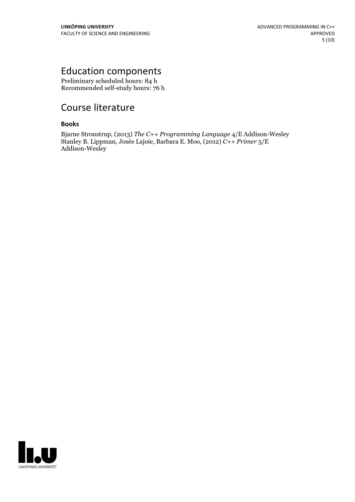# Education components

Preliminary scheduled hours: 84 h Recommended self-study hours: 76 h

# Course literature

#### **Books**

Bjarne Stroustrup, (2013) *The C++ Programming Language* 4/E Addison-Wesley Stanley B. Lippman, Josée Lajoie, Barbara E. Moo, (2012) *C++ Primer* 5/E Addison-Wesley

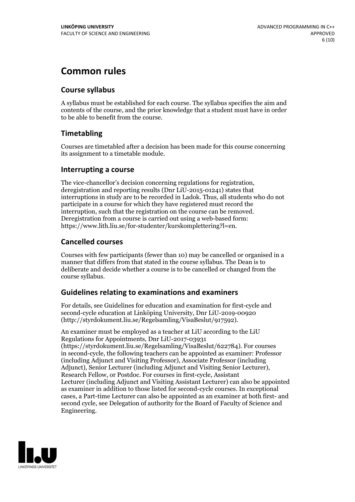## **Common rules**

#### **Course syllabus**

A syllabus must be established for each course. The syllabus specifies the aim and contents of the course, and the prior knowledge that a student must have in order to be able to benefit from the course.

### **Timetabling**

Courses are timetabled after a decision has been made for this course concerning its assignment to a timetable module.

#### **Interrupting a course**

The vice-chancellor's decision concerning regulations for registration, deregistration and reporting results (Dnr LiU-2015-01241) states that interruptions in study are to be recorded in Ladok. Thus, all students who do not participate in a course for which they have registered must record the interruption, such that the registration on the course can be removed. Deregistration from <sup>a</sup> course is carried outusing <sup>a</sup> web-based form: https://www.lith.liu.se/for-studenter/kurskomplettering?l=en.

### **Cancelled courses**

Courses with few participants (fewer than 10) may be cancelled or organised in a manner that differs from that stated in the course syllabus. The Dean is to deliberate and decide whether a course is to be cancelled or changed from the course syllabus.

### **Guidelines relatingto examinations and examiners**

For details, see Guidelines for education and examination for first-cycle and second-cycle education at Linköping University, Dnr LiU-2019-00920 (http://styrdokument.liu.se/Regelsamling/VisaBeslut/917592).

An examiner must be employed as a teacher at LiU according to the LiU Regulations for Appointments, Dnr LiU-2017-03931 (https://styrdokument.liu.se/Regelsamling/VisaBeslut/622784). For courses in second-cycle, the following teachers can be appointed as examiner: Professor (including Adjunct and Visiting Professor), Associate Professor (including Adjunct), Senior Lecturer (including Adjunct and Visiting Senior Lecturer), Research Fellow, or Postdoc. For courses in first-cycle, Assistant Lecturer (including Adjunct and Visiting Assistant Lecturer) can also be appointed as examiner in addition to those listed for second-cycle courses. In exceptional cases, a Part-time Lecturer can also be appointed as an examiner at both first- and second cycle, see Delegation of authority for the Board of Faculty of Science and Engineering.

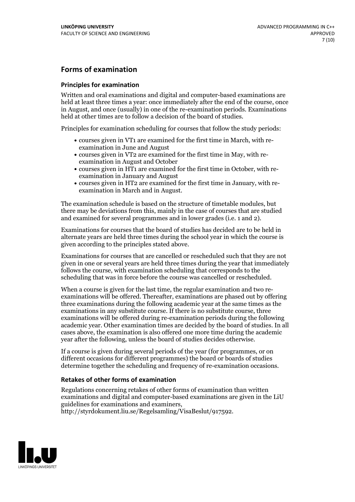### **Forms of examination**

#### **Principles for examination**

Written and oral examinations and digital and computer-based examinations are held at least three times a year: once immediately after the end of the course, once in August, and once (usually) in one of the re-examination periods. Examinations held at other times are to follow a decision of the board of studies.

Principles for examination scheduling for courses that follow the study periods:

- courses given in VT1 are examined for the first time in March, with re-examination in June and August
- courses given in VT2 are examined for the first time in May, with re-examination in August and October
- courses given in HT1 are examined for the first time in October, with re-examination in January and August
- courses given in HT2 are examined for the first time in January, with re-examination in March and in August.

The examination schedule is based on the structure of timetable modules, but there may be deviations from this, mainly in the case of courses that are studied and examined for several programmes and in lower grades (i.e. 1 and 2).

Examinations for courses that the board of studies has decided are to be held in alternate years are held three times during the school year in which the course is given according to the principles stated above.

Examinations for courses that are cancelled orrescheduled such that they are not given in one or several years are held three times during the year that immediately follows the course, with examination scheduling that corresponds to the scheduling that was in force before the course was cancelled or rescheduled.

When a course is given for the last time, the regular examination and two re-<br>examinations will be offered. Thereafter, examinations are phased out by offering three examinations during the following academic year at the same times as the examinations in any substitute course. If there is no substitute course, three examinations will be offered during re-examination periods during the following academic year. Other examination times are decided by the board of studies. In all cases above, the examination is also offered one more time during the academic year after the following, unless the board of studies decides otherwise.

If a course is given during several periods of the year (for programmes, or on different occasions for different programmes) the board or boards of studies determine together the scheduling and frequency of re-examination occasions.

#### **Retakes of other forms of examination**

Regulations concerning retakes of other forms of examination than written examinations and digital and computer-based examinations are given in the LiU guidelines for examinations and examiners, http://styrdokument.liu.se/Regelsamling/VisaBeslut/917592.

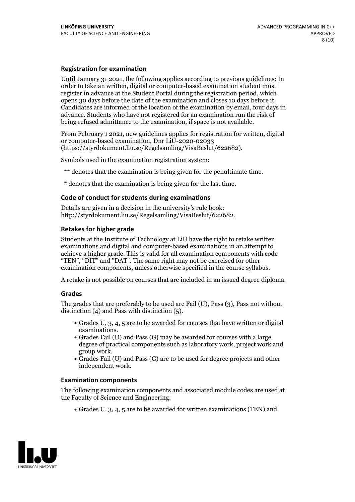#### **Registration for examination**

Until January 31 2021, the following applies according to previous guidelines: In order to take an written, digital or computer-based examination student must register in advance at the Student Portal during the registration period, which Candidates are informed of the location of the examination by email, four days in advance. Students who have not registered for an examination run the risk of being refused admittance to the examination, if space is not available.

From February 1 2021, new guidelines applies for registration for written, digital or computer-based examination, Dnr LiU-2020-02033 (https://styrdokument.liu.se/Regelsamling/VisaBeslut/622682).

Symbols used in the examination registration system:

\*\* denotes that the examination is being given for the penultimate time.

\* denotes that the examination is being given for the last time.

#### **Code of conduct for students during examinations**

Details are given in a decision in the university's rule book: http://styrdokument.liu.se/Regelsamling/VisaBeslut/622682.

#### **Retakes for higher grade**

Students at the Institute of Technology at LiU have the right to retake written examinations and digital and computer-based examinations in an attempt to achieve a higher grade. This is valid for all examination components with code "TEN", "DIT" and "DAT". The same right may not be exercised for other examination components, unless otherwise specified in the course syllabus.

A retake is not possible on courses that are included in an issued degree diploma.

#### **Grades**

The grades that are preferably to be used are Fail (U), Pass (3), Pass not without distinction  $(4)$  and Pass with distinction  $(5)$ .

- Grades U, 3, 4, 5 are to be awarded for courses that have written or digital examinations.<br>• Grades Fail (U) and Pass (G) may be awarded for courses with a large
- degree of practical components such as laboratory work, project work and
- Grades Fail (U) and Pass (G) are to be used for degree projects and other independent work.

#### **Examination components**

The following examination components and associated module codes are used at the Faculty of Science and Engineering:

Grades U, 3, 4, 5 are to be awarded for written examinations (TEN) and

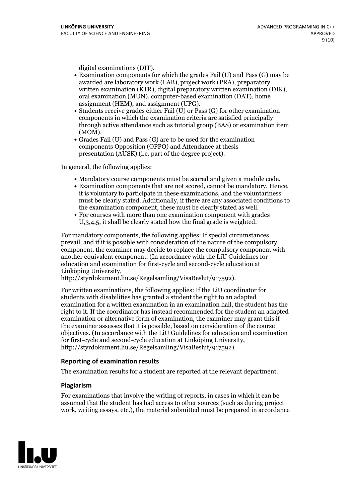- digital examinations (DIT).<br>• Examination components for which the grades Fail (U) and Pass (G) may be awarded are laboratory work (LAB), project work (PRA), preparatory written examination (KTR), digital preparatory written examination (DIK), oral examination (MUN), computer-based examination (DAT), home
- assignment (HEM), and assignment (UPG).<br>• Students receive grades either Fail (U) or Pass (G) for other examination components in which the examination criteria are satisfied principally through active attendance such as tutorial group (BAS) or examination item
- (MOM).<br>• Grades Fail (U) and Pass (G) are to be used for the examination components Opposition (OPPO) and Attendance at thesis presentation (AUSK) (i.e. part of the degree project).

In general, the following applies:

- 
- Mandatory course components must be scored and given <sup>a</sup> module code. Examination components that are not scored, cannot be mandatory. Hence, it is voluntary to participate in these examinations, and the voluntariness must be clearly stated. Additionally, if there are any associated conditions to the examination component, these must be clearly stated as well.<br>• For courses with more than one examination component with grades
- U,3,4,5, it shall be clearly stated how the final grade is weighted.

For mandatory components, the following applies: If special circumstances prevail, and if it is possible with consideration of the nature ofthe compulsory component, the examiner may decide to replace the compulsory component with another equivalent component. (In accordance with the LiU Guidelines for education and examination for first-cycle and second-cycle education at Linköping University, http://styrdokument.liu.se/Regelsamling/VisaBeslut/917592).

For written examinations, the following applies: If the LiU coordinator for students with disabilities has granted a student the right to an adapted examination for a written examination in an examination hall, the student has the right to it. If the coordinator has instead recommended for the student an adapted examination or alternative form of examination, the examiner may grant this if the examiner assesses that it is possible, based on consideration of the course objectives. (In accordance with the LiU Guidelines for education and examination for first-cycle and second-cycle education at Linköping University, http://styrdokument.liu.se/Regelsamling/VisaBeslut/917592).

#### **Reporting of examination results**

The examination results for a student are reported at the relevant department.

#### **Plagiarism**

For examinations that involve the writing of reports, in cases in which it can be assumed that the student has had access to other sources (such as during project work, writing essays, etc.), the material submitted must be prepared in accordance